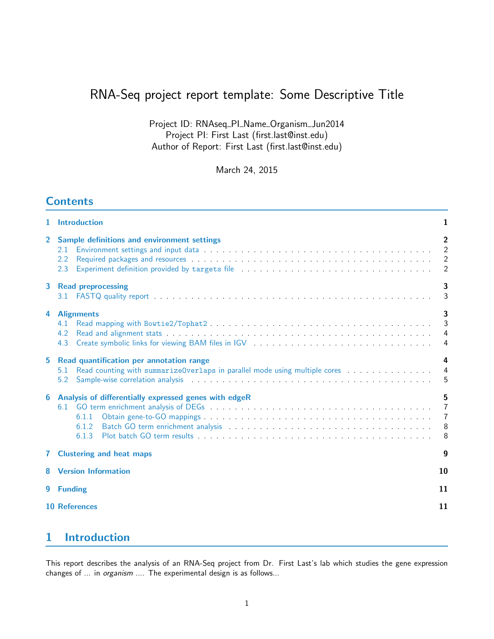# RNA-Seq project report template: Some Descriptive Title

Project ID: RNAseq\_PI\_Name\_Organism\_Jun2014 Project PI: First Last (first.last@inst.edu) Author of Report: First Last (first.last@inst.edu)

March 24, 2015

# **Contents**

| 1.             | <b>Introduction</b>                                                                                                                                                                                                                                                                                                                                                    | $\mathbf{1}$                                                                  |  |  |  |
|----------------|------------------------------------------------------------------------------------------------------------------------------------------------------------------------------------------------------------------------------------------------------------------------------------------------------------------------------------------------------------------------|-------------------------------------------------------------------------------|--|--|--|
| $\overline{2}$ | Sample definitions and environment settings<br>2.1<br>2.2<br>2.3                                                                                                                                                                                                                                                                                                       | $\overline{2}$<br>2<br>$\overline{\phantom{0}}^2$<br>$\overline{2}$           |  |  |  |
| 3              | <b>Read preprocessing</b>                                                                                                                                                                                                                                                                                                                                              | 3<br>3                                                                        |  |  |  |
| 4              | <b>Alignments</b><br>4.1<br>4.2<br>Create symbolic links for viewing BAM files in IGV (Fig. 2014) (Fig. 2014) (Fig. 2014) (Fig. 2014) (Fig. 2014)<br>4.3                                                                                                                                                                                                               | $\overline{\mathbf{3}}$<br>$\overline{3}$<br>$\overline{4}$<br>$\overline{4}$ |  |  |  |
| 5              | Read quantification per annotation range<br>Read counting with summarizeOverlaps in parallel mode using multiple cores<br>5.1<br>Sample-wise correlation analysis entering the state of the state of the state of the state of the state of the state of the state of the state of the state of the state of the state of the state of the state of the state o<br>5.2 | 4<br>$\overline{4}$<br>5                                                      |  |  |  |
| 6              | Analysis of differentially expressed genes with edgeR<br>6.1.1<br>6.1.2<br>6.1.3                                                                                                                                                                                                                                                                                       | 5<br>$\overline{7}$<br>$\overline{7}$<br>8 <sup>8</sup><br>8                  |  |  |  |
|                | <b>7</b> Clustering and heat maps<br>9                                                                                                                                                                                                                                                                                                                                 |                                                                               |  |  |  |
|                | <b>8</b> Version Information                                                                                                                                                                                                                                                                                                                                           | 10                                                                            |  |  |  |
|                | 9 Funding                                                                                                                                                                                                                                                                                                                                                              | 11                                                                            |  |  |  |
|                | <b>10 References</b>                                                                                                                                                                                                                                                                                                                                                   | 11                                                                            |  |  |  |
|                |                                                                                                                                                                                                                                                                                                                                                                        |                                                                               |  |  |  |

# <span id="page-0-0"></span>1 Introduction

This report describes the analysis of an RNA-Seq project from Dr. First Last's lab which studies the gene expression changes of ... in organism .... The experimental design is as follows...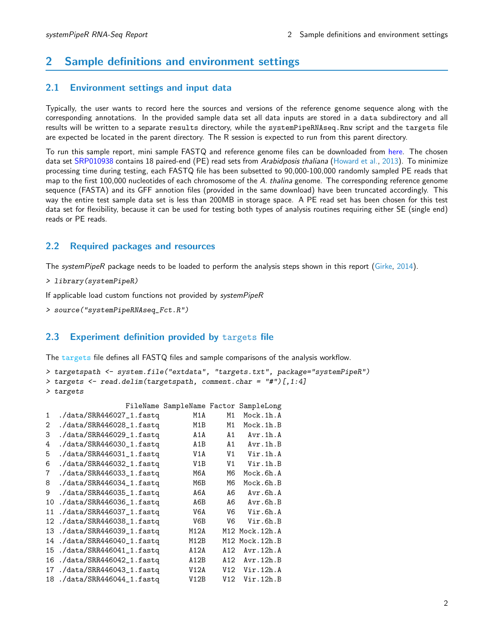# <span id="page-1-0"></span>2 Sample definitions and environment settings

#### <span id="page-1-1"></span>2.1 Environment settings and input data

Typically, the user wants to record here the sources and versions of the reference genome sequence along with the corresponding annotations. In the provided sample data set all data inputs are stored in a data subdirectory and all results will be written to a separate results directory, while the systemPipeRNAseq.Rnw script and the targets file are expected be located in the parent directory. The R session is expected to run from this parent directory.

To run this sample report, mini sample FASTQ and reference genome files can be downloaded from [here.](http://biocluster.ucr.edu/~tgirke/projects/systemPipeR_test_data.zip) The chosen data set [SRP010938](http://www.ncbi.nlm.nih.gov/sra/?term=SRP010938) contains 18 paired-end (PE) read sets from Arabidposis thaliana [\(Howard et al.,](#page-10-2) [2013\)](#page-10-2). To minimize processing time during testing, each FASTQ file has been subsetted to 90,000-100,000 randomly sampled PE reads that map to the first 100,000 nucleotides of each chromosome of the A. thalina genome. The corresponding reference genome sequence (FASTA) and its GFF annotion files (provided in the same download) have been truncated accordingly. This way the entire test sample data set is less than 200MB in storage space. A PE read set has been chosen for this test data set for flexibility, because it can be used for testing both types of analysis routines requiring either SE (single end) reads or PE reads.

### <span id="page-1-2"></span>2.2 Required packages and resources

The systemPipeR package needs to be loaded to perform the analysis steps shown in this report [\(Girke,](#page-10-3) [2014\)](#page-10-3).

```
> library(systemPipeR)
```
If applicable load custom functions not provided by systemPipeR

```
> source("systemPipeRNAseq_Fct.R")
```
### <span id="page-1-3"></span>2.3 Experiment definition provided by targets file

The targets file defines all FASTQ files and sample comparisons of the analysis workflow.

```
> targetspath <- system.file("extdata", "targets.txt", package="systemPipeR")
> targets <- read.delim(targetspath, comment.char = "#")[,1:4]
> targets
```

|              |                            | FileName SampleName Factor SampleLong |                |                    |
|--------------|----------------------------|---------------------------------------|----------------|--------------------|
| $\mathbf{1}$ | ./data/SRR446027_1.fastq   | M1A                                   | M1             | Mock.1h.A          |
| 2            | ./data/SRR446028_1.fastq   | M1B                                   | M1             | Mock.1h.B          |
| 3            | ./data/SRR446029_1.fastq   | A1A                                   | A1             | Avr.1h.A           |
| 4            | ./data/SRR446030_1.fastq   | A <sub>1</sub> B                      | A1             | Avr.1h.B           |
| 5            | ./data/SRR446031_1.fastq   | V1A                                   | V <sub>1</sub> | Vir.1h.A           |
| 6            | ./data/SRR446032_1.fastq   | V1B                                   | V <sub>1</sub> | Vir.1h.B           |
| 7            | ./data/SRR446033_1.fastq   | M6A                                   | M6             | Mock.6h.A          |
| 8            | ./data/SRR446034_1.fastq   | M6B                                   | M6             | Mock.6h.B          |
| 9            | ./data/SRR446035_1.fastq   | A6A                                   | A6             | Avr.6h.A           |
| 10           | ./data/SRR446036_1.fastq   | A6B                                   | A6             | $Avr$ . $6h$ . $B$ |
| 11           | ./data/SRR446037_1.fastq   | V6A                                   | V6             | Vir.6h.A           |
| 12           | ./data/SRR446038_1.fastq   | V6B                                   | V6             | Vir.6h.B           |
| 13           | ./data/SRR446039_1.fastq   | M12A                                  |                | M12 Mock.12h.A     |
| 14           | $./data/SRR446040_1.fastq$ | M12B                                  |                | M12 Mock.12h.B     |
| 15           | ./data/SRR446041_1.fastq   | A12A                                  | A12            | Avr.12h.A          |
| 16           | ./data/SRR446042_1.fastq   | A12B                                  | A12            | Avr.12h.B          |
| 17           | ./data/SRR446043_1.fastq   | V12A                                  | V12            | Vir.12h.A          |
| 18           | ./data/SRR446044_1.fastq   | V12B                                  | V12            | Vir.12h.B          |
|              |                            |                                       |                |                    |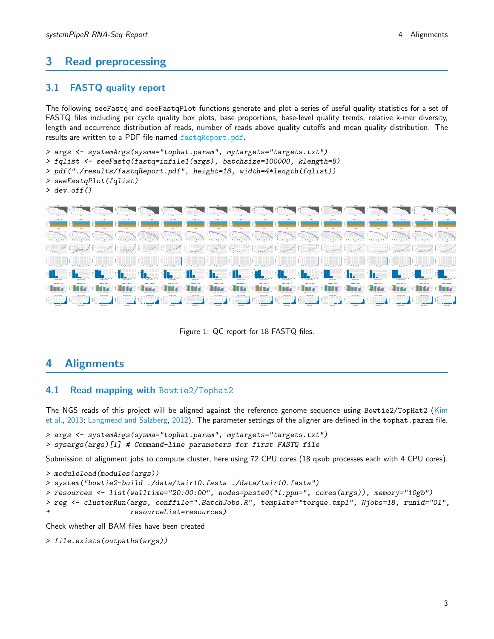# <span id="page-2-0"></span>3 Read preprocessing

### <span id="page-2-1"></span>3.1 FASTQ quality report

The following seeFastq and seeFastqPlot functions generate and plot a series of useful quality statistics for a set of FASTQ files including per cycle quality box plots, base proportions, base-level quality trends, relative k-mer diversity, length and occurrence distribution of reads, number of reads above quality cutoffs and mean quality distribution. The results are written to a PDF file named fastqReport.pdf.

```
> args <- systemArgs(sysma="tophat.param", mytargets="targets.txt")
> fqlist <- seeFastq(fastq=infile1(args), batchsize=100000, klength=8)
> pdf("./results/fastqReport.pdf", height=18, width=4*length(fqlist))
> seeFastqPlot(fqlist)
> dev.off()
```


Figure 1: QC report for 18 FASTQ files.

### <span id="page-2-2"></span>4 Alignments

### <span id="page-2-3"></span>4.1 Read mapping with Bowtie2/Tophat2

The NGS reads of this project will be aligned against the reference genome sequence using Bowtie2/TopHat2 [\(Kim](#page-10-4) [et al.,](#page-10-4) [2013;](#page-10-4) [Langmead and Salzberg,](#page-10-5) [2012\)](#page-10-5). The parameter settings of the aligner are defined in the tophat.param file.

```
> args <- systemArgs(sysma="tophat.param", mytargets="targets.txt")
> sysargs(args)[1] # Command-line parameters for first FASTQ file
```
Submission of alignment jobs to compute cluster, here using 72 CPU cores (18 qsub processes each with 4 CPU cores).

```
> moduleload(modules(args))
> system("bowtie2-build ./data/tair10.fasta ./data/tair10.fasta")
> resources <- list(walltime="20:00:00", nodes=paste0("1:ppn=", cores(args)), memory="10gb")
> reg <- clusterRun(args, conffile=".BatchJobs.R", template="torque.tmpl", Njobs=18, runid="01",
+ resourceList=resources)
```
Check whether all BAM files have been created

```
> file.exists(outpaths(args))
```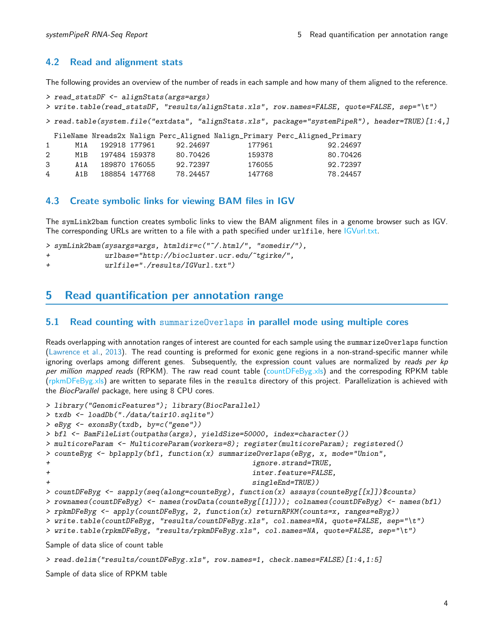### <span id="page-3-0"></span>4.2 Read and alignment stats

The following provides an overview of the number of reads in each sample and how many of them aligned to the reference.

```
> read_statsDF <- alignStats(args=args)
> write.table(read_statsDF, "results/alignStats.xls", row.names=FALSE, quote=FALSE, sep="\t")
> read.table(system.file("extdata", "alignStats.xls", package="systemPipeR"), header=TRUE)[1:4,]
 FileName Nreads2x Nalign Perc_Aligned Nalign_Primary Perc_Aligned_Primary
1 M1A 192918 177961 92.24697 177961 92.24697
2 M1B 197484 159378 80.70426 159378 80.70426
3 A1A 189870 176055 92.72397 176055 92.72397
4 A1B 188854 147768 78.24457 147768 78.24457
```
### <span id="page-3-1"></span>4.3 Create symbolic links for viewing BAM files in IGV

The symLink2bam function creates symbolic links to view the BAM alignment files in a genome browser such as IGV. The corresponding URLs are written to a file with a path specified under urlfile, here IGVurl.txt.

```
> symLink2bam(sysargs=args, htmldir=c("~/.html/", "somedir/"),
+ urlbase="http://biocluster.ucr.edu/~tgirke/",
+ urlfile="./results/IGVurl.txt")
```
### <span id="page-3-2"></span>5 Read quantification per annotation range

#### <span id="page-3-3"></span>5.1 Read counting with summarizeOverlaps in parallel mode using multiple cores

Reads overlapping with annotation ranges of interest are counted for each sample using the summarizeOverlaps function [\(Lawrence et al.,](#page-10-6) [2013\)](#page-10-6). The read counting is preformed for exonic gene regions in a non-strand-specific manner while ignoring overlaps among different genes. Subsequently, the expression count values are normalized by reads per  $kp$ per million mapped reads (RPKM). The raw read count table (countDFeByg.xls) and the correspoding RPKM table (rpkmDFeByg.xls) are written to separate files in the results directory of this project. Parallelization is achieved with the BiocParallel package, here using 8 CPU cores.

```
> library("GenomicFeatures"); library(BiocParallel)
> txdb <- loadDb("./data/tair10.sqlite")
> eByg <- exonsBy(txdb, by=c("gene"))
> bfl <- BamFileList(outpaths(args), yieldSize=50000, index=character())
> multicoreParam <- MulticoreParam(workers=8); register(multicoreParam); registered()
> counteByg <- bplapply(bfl, function(x) summarizeOverlaps(eByg, x, mode="Union",
+ ignore.strand=TRUE,
+ inter.feature=FALSE,
+ singleEnd=TRUE))
> countDFeByg <- sapply(seq(along=counteByg), function(x) assays(counteByg[[x]])$counts)
> rownames(countDFeByg) <- names(rowData(counteByg[[1]])); colnames(countDFeByg) <- names(bfl)
> rpkmDFeByg <- apply(countDFeByg, 2, function(x) returnRPKM(counts=x, ranges=eByg))
> write.table(countDFeByg, "results/countDFeByg.xls", col.names=NA, quote=FALSE, sep="\t")
> write.table(rpkmDFeByg, "results/rpkmDFeByg.xls", col.names=NA, quote=FALSE, sep="\t")
```
Sample of data slice of count table

```
> read.delim("results/countDFeByg.xls", row.names=1, check.names=FALSE)[1:4,1:5]
```
Sample of data slice of RPKM table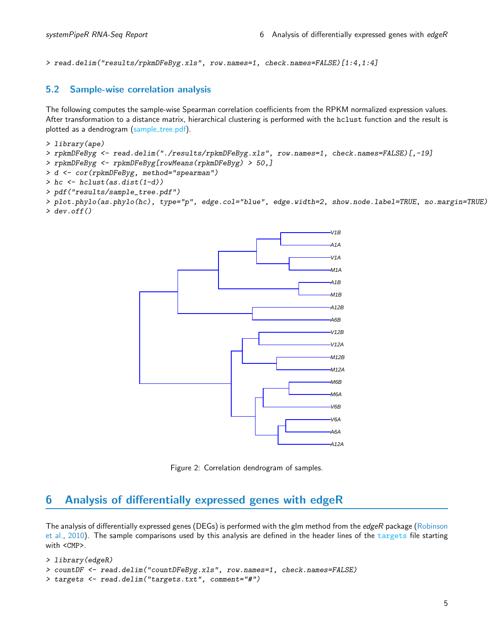> read.delim("results/rpkmDFeByg.xls", row.names=1, check.names=FALSE)[1:4,1:4]

### <span id="page-4-0"></span>5.2 Sample-wise correlation analysis

The following computes the sample-wise Spearman correlation coefficients from the RPKM normalized expression values. After transformation to a distance matrix, hierarchical clustering is performed with the hclust function and the result is plotted as a dendrogram (sample\_tree.pdf).

- > library(ape)
- > rpkmDFeByg <- read.delim("./results/rpkmDFeByg.xls", row.names=1, check.names=FALSE)[,-19]
- > rpkmDFeByg <- rpkmDFeByg[rowMeans(rpkmDFeByg) > 50,]
- > d <- cor(rpkmDFeByg, method="spearman")
- > hc <- hclust(as.dist(1-d))
- > pdf("results/sample\_tree.pdf")

> plot.phylo(as.phylo(hc), type="p", edge.col="blue", edge.width=2, show.node.label=TRUE, no.margin=TRUE)  $>$  dev. of  $f()$ 



Figure 2: Correlation dendrogram of samples.

# <span id="page-4-1"></span>6 Analysis of differentially expressed genes with edgeR

The analysis of differentially expressed genes (DEGs) is performed with the glm method from the edgeR package [\(Robinson](#page-10-7) [et al.,](#page-10-7) [2010\)](#page-10-7). The sample comparisons used by this analysis are defined in the header lines of the targets file starting with <CMP>.

```
> library(edgeR)
> countDF <- read.delim("countDFeByg.xls", row.names=1, check.names=FALSE)
> targets <- read.delim("targets.txt", comment="#")
```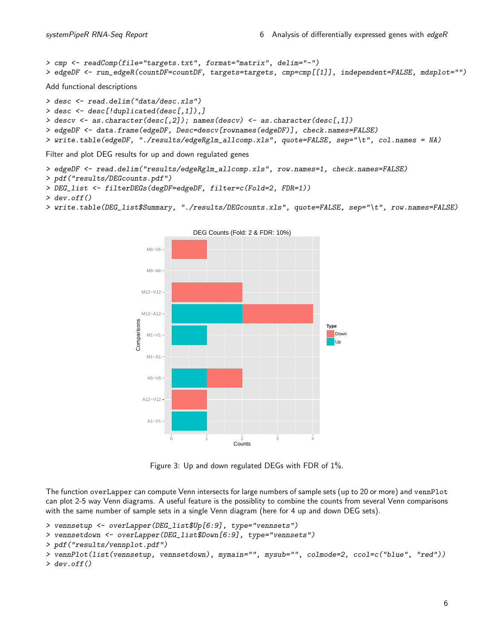```
> cmp <- readComp(file="targets.txt", format="matrix", delim="-")
> edgeDF <- run_edgeR(countDF=countDF, targets=targets, cmp=cmp[[1]], independent=FALSE, mdsplot="")
Add functional descriptions
> desc <- read.delim("data/desc.xls")
> desc <- desc[!duplicated(desc[,1]),]
> descv <- as.character(desc[,2]); names(descv) <- as.character(desc[,1])
> edgeDF <- data.frame(edgeDF, Desc=descv[rownames(edgeDF)], check.names=FALSE)
> write.table(edgeDF, "./results/edgeRglm_allcomp.xls", quote=FALSE, sep="\t", col.names = NA)
```
Filter and plot DEG results for up and down regulated genes

```
> edgeDF <- read.delim("results/edgeRglm_allcomp.xls", row.names=1, check.names=FALSE)
```

```
> pdf("results/DEGcounts.pdf")
```

```
> DEG_list <- filterDEGs(degDF=edgeDF, filter=c(Fold=2, FDR=1))
```

```
> dev. of f()
```

```
> write.table(DEG_list$Summary, "./results/DEGcounts.xls", quote=FALSE, sep="\t", row.names=FALSE)
```


Figure 3: Up and down regulated DEGs with FDR of 1%.

The function overLapper can compute Venn intersects for large numbers of sample sets (up to 20 or more) and vennPlot can plot 2-5 way Venn diagrams. A useful feature is the possiblity to combine the counts from several Venn comparisons with the same number of sample sets in a single Venn diagram (here for 4 up and down DEG sets).

```
> vennsetup <- overLapper(DEG_list$Up[6:9], type="vennsets")
```
> vennsetdown <- overLapper(DEG\_list\$Down[6:9], type="vennsets")

```
> pdf("results/vennplot.pdf")
```

```
> vennPlot(list(vennsetup, vennsetdown), mymain="", mysub="", colmode=2, ccol=c("blue", "red"))
> dev. of f()
```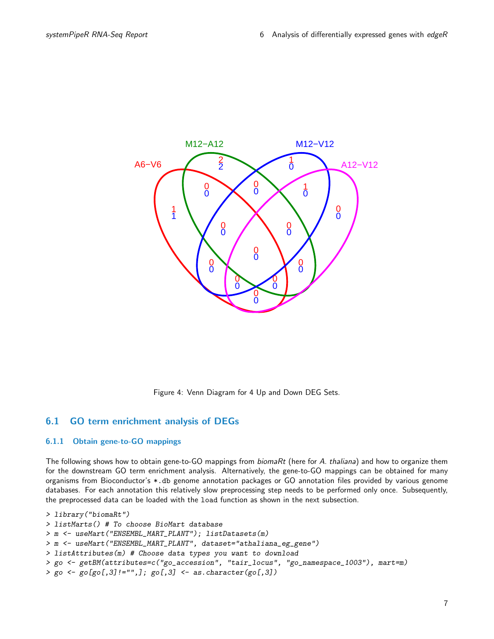

Figure 4: Venn Diagram for 4 Up and Down DEG Sets.

### <span id="page-6-0"></span>6.1 GO term enrichment analysis of DEGs

#### <span id="page-6-1"></span>6.1.1 Obtain gene-to-GO mappings

The following shows how to obtain gene-to-GO mappings from biomaRt (here for A. thaliana) and how to organize them for the downstream GO term enrichment analysis. Alternatively, the gene-to-GO mappings can be obtained for many organisms from Bioconductor's \*.db genome annotation packages or GO annotation files provided by various genome databases. For each annotation this relatively slow preprocessing step needs to be performed only once. Subsequently, the preprocessed data can be loaded with the load function as shown in the next subsection.

```
> library("biomaRt")
> listMarts() # To choose BioMart database
> m <- useMart("ENSEMBL_MART_PLANT"); listDatasets(m)
> m <- useMart("ENSEMBL_MART_PLANT", dataset="athaliana_eg_gene")
> listAttributes(m) # Choose data types you want to download
> go <- getBM(attributes=c("go_accession", "tair_locus", "go_namespace_1003"), mart=m)
> go \leftarrow go[go[,3]!="",]; go[,3] \leftarrow as.character(go[,3])
```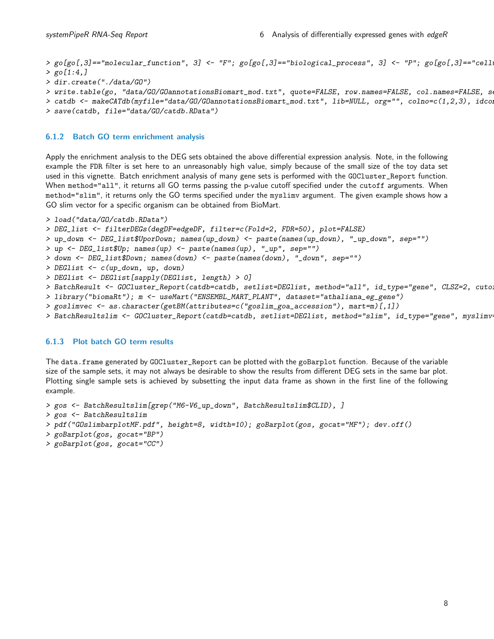> go[go[,3] == "molecular\_function", 3] <- "F"; go[go[,3] == "biological\_process", 3] <- "P"; go[go[,3] == "cell  $>$  go[1:4,] > dir.create("./data/GO")

```
> write.table(go, "data/GO/GOannotationsBiomart_mod.txt", quote=FALSE, row.names=FALSE, col.names=FALSE, s
```

```
> catdb <- makeCATdb(myfile="data/GO/GOannotationsBiomart_mod.txt", lib=NULL, org="", colno=c(1,2,3), idcon
> save(catdb, file="data/GO/catdb.RData")
```
#### <span id="page-7-0"></span>6.1.2 Batch GO term enrichment analysis

Apply the enrichment analysis to the DEG sets obtained the above differential expression analysis. Note, in the following example the FDR filter is set here to an unreasonably high value, simply because of the small size of the toy data set used in this vignette. Batch enrichment analysis of many gene sets is performed with the GOCluster\_Report function. When method="all", it returns all GO terms passing the p-value cutoff specified under the cutoff arguments. When method="slim", it returns only the GO terms specified under the myslimv argument. The given example shows how a GO slim vector for a specific organism can be obtained from BioMart.

```
> load("data/GO/catdb.RData")
> DEG_list <- filterDEGs(degDF=edgeDF, filter=c(Fold=2, FDR=50), plot=FALSE)
> up_down <- DEG_list$UporDown; names(up_down) <- paste(names(up_down), "_up_down", sep="")
> up <- DEG_list$Up; names(up) <- paste(names(up), "_up", sep="")
> down <- DEG_list$Down; names(down) <- paste(names(down), "_down", sep="")
> DEGlist <- c(up_down, up, down)
> DEGlist <- DEGlist[sapply(DEGlist, length) > 0]
> BatchResult <- GOCluster_Report(catdb=catdb, setlist=DEGlist, method="all", id_type="gene", CLSZ=2, cuto.
> library("biomaRt"); m <- useMart("ENSEMBL_MART_PLANT", dataset="athaliana_eg_gene")
> goslimvec <- as.character(getBM(attributes=c("goslim_goa_accession"), mart=m)[,1])
> BatchResultslim <- GOCluster_Report(catdb=catdb, setlist=DEGlist, method="slim", id_type="gene", myslimv
```
#### <span id="page-7-1"></span>6.1.3 Plot batch GO term results

The data.frame generated by GOCluster\_Report can be plotted with the goBarplot function. Because of the variable size of the sample sets, it may not always be desirable to show the results from different DEG sets in the same bar plot. Plotting single sample sets is achieved by subsetting the input data frame as shown in the first line of the following example.

```
> gos <- BatchResultslim[grep("M6-V6_up_down", BatchResultslim$CLID), ]
> gos <- BatchResultslim
```

```
> pdf("GOslimbarplotMF.pdf", height=8, width=10); goBarplot(gos, gocat="MF"); dev.off()
```

```
> goBarplot(gos, gocat="BP")
```
> goBarplot(gos, gocat="CC")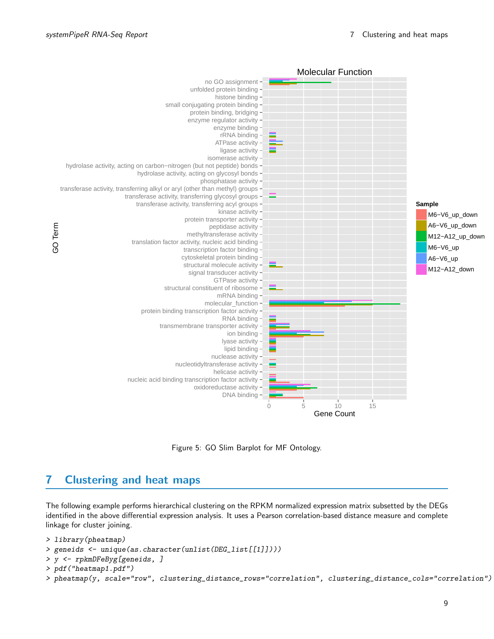

Figure 5: GO Slim Barplot for MF Ontology.

# <span id="page-8-0"></span>7 Clustering and heat maps

The following example performs hierarchical clustering on the RPKM normalized expression matrix subsetted by the DEGs identified in the above differential expression analysis. It uses a Pearson correlation-based distance measure and complete linkage for cluster joining.

```
> library(pheatmap)
> geneids <- unique(as.character(unlist(DEG_list[[1]])))
> y <- rpkmDFeByg[geneids, ]
> pdf("heatmap1.pdf")
> pheatmap(y, scale="row", clustering_distance_rows="correlation", clustering_distance_cols="correlation")
```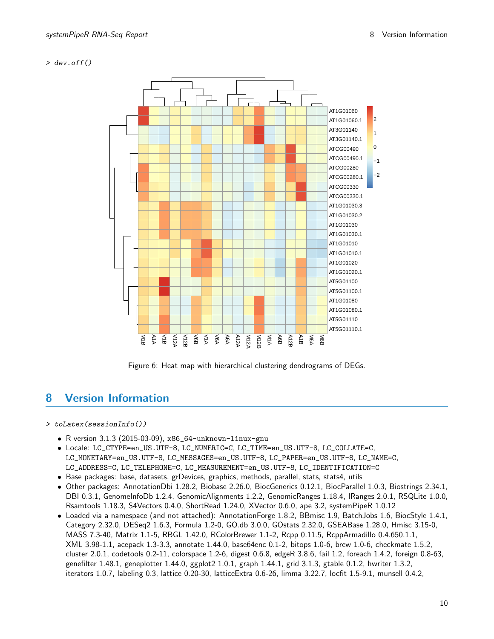#### > dev.off()



Figure 6: Heat map with hierarchical clustering dendrograms of DEGs.

# <span id="page-9-0"></span>8 Version Information

#### > toLatex(sessionInfo())

- R version 3.1.3 (2015-03-09), x86\_64-unknown-linux-gnu
- Locale: LC\_CTYPE=en\_US.UTF-8, LC\_NUMERIC=C, LC\_TIME=en\_US.UTF-8, LC\_COLLATE=C, LC\_MONETARY=en\_US.UTF-8, LC\_MESSAGES=en\_US.UTF-8, LC\_PAPER=en\_US.UTF-8, LC\_NAME=C, LC\_ADDRESS=C, LC\_TELEPHONE=C, LC\_MEASUREMENT=en\_US.UTF-8, LC\_IDENTIFICATION=C
- Base packages: base, datasets, grDevices, graphics, methods, parallel, stats, stats4, utils
- Other packages: AnnotationDbi 1.28.2, Biobase 2.26.0, BiocGenerics 0.12.1, BiocParallel 1.0.3, Biostrings 2.34.1, DBI 0.3.1, GenomeInfoDb 1.2.4, GenomicAlignments 1.2.2, GenomicRanges 1.18.4, IRanges 2.0.1, RSQLite 1.0.0, Rsamtools 1.18.3, S4Vectors 0.4.0, ShortRead 1.24.0, XVector 0.6.0, ape 3.2, systemPipeR 1.0.12
- Loaded via a namespace (and not attached): AnnotationForge 1.8.2, BBmisc 1.9, BatchJobs 1.6, BiocStyle 1.4.1, Category 2.32.0, DESeq2 1.6.3, Formula 1.2-0, GO.db 3.0.0, GOstats 2.32.0, GSEABase 1.28.0, Hmisc 3.15-0, MASS 7.3-40, Matrix 1.1-5, RBGL 1.42.0, RColorBrewer 1.1-2, Rcpp 0.11.5, RcppArmadillo 0.4.650.1.1, XML 3.98-1.1, acepack 1.3-3.3, annotate 1.44.0, base64enc 0.1-2, bitops 1.0-6, brew 1.0-6, checkmate 1.5.2, cluster 2.0.1, codetools 0.2-11, colorspace 1.2-6, digest 0.6.8, edgeR 3.8.6, fail 1.2, foreach 1.4.2, foreign 0.8-63, genefilter 1.48.1, geneplotter 1.44.0, ggplot2 1.0.1, graph 1.44.1, grid 3.1.3, gtable 0.1.2, hwriter 1.3.2, iterators 1.0.7, labeling 0.3, lattice 0.20-30, latticeExtra 0.6-26, limma 3.22.7, locfit 1.5-9.1, munsell 0.4.2,